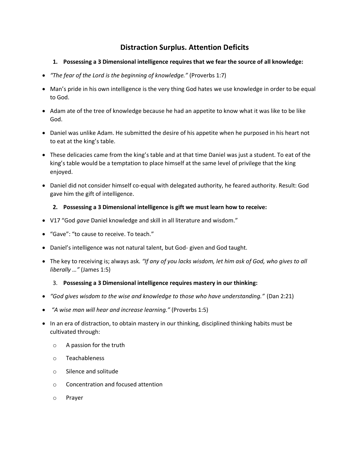## **Distraction Surplus. Attention Deficits**

## **1. Possessing a 3 Dimensional intelligence requires that we fear the source of all knowledge:**

- *"The fear of the Lord is the beginning of knowledge."* (Proverbs 1:7)
- Man's pride in his own intelligence is the very thing God hates we use knowledge in order to be equal to God.
- Adam ate of the tree of knowledge because he had an appetite to know what it was like to be like God.
- Daniel was unlike Adam. He submitted the desire of his appetite when he purposed in his heart not to eat at the king's table.
- These delicacies came from the king's table and at that time Daniel was just a student. To eat of the king's table would be a temptation to place himself at the same level of privilege that the king enjoyed.
- Daniel did not consider himself co-equal with delegated authority, he feared authority. Result: God gave him the gift of intelligence.

## **2. Possessing a 3 Dimensional intelligence is gift we must learn how to receive:**

- V17 "God *gave* Daniel knowledge and skill in all literature and wisdom."
- "Gave": "to cause to receive. To teach."
- Daniel's intelligence was not natural talent, but God- given and God taught.
- The key to receiving is; always ask. *"If any of you lacks wisdom, let him ask of God, who gives to all liberally …"* (James 1:5)

## 3. **Possessing a 3 Dimensional intelligence requires mastery in our thinking:**

- *"God gives wisdom to the wise and knowledge to those who have understanding."* (Dan 2:21)
- *"A wise man will hear and increase learning."* (Proverbs 1:5)
- In an era of distraction, to obtain mastery in our thinking, disciplined thinking habits must be cultivated through:
	- o A passion for the truth
	- o Teachableness
	- o Silence and solitude
	- o Concentration and focused attention
	- o Prayer